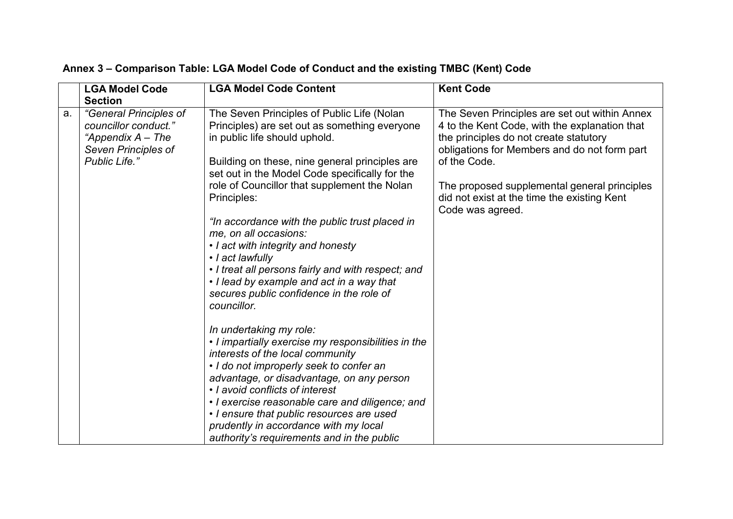|    | <b>LGA Model Code</b>                                                     | <b>LGA Model Code Content</b>                                                                                                                              | <b>Kent Code</b>                                                                                                                        |
|----|---------------------------------------------------------------------------|------------------------------------------------------------------------------------------------------------------------------------------------------------|-----------------------------------------------------------------------------------------------------------------------------------------|
| a. | <b>Section</b><br>"General Principles of                                  | The Seven Principles of Public Life (Nolan                                                                                                                 | The Seven Principles are set out within Annex                                                                                           |
|    | councillor conduct."<br>"Appendix $A$ – The<br><b>Seven Principles of</b> | Principles) are set out as something everyone<br>in public life should uphold.                                                                             | 4 to the Kent Code, with the explanation that<br>the principles do not create statutory<br>obligations for Members and do not form part |
|    | Public Life."                                                             | Building on these, nine general principles are<br>set out in the Model Code specifically for the                                                           | of the Code.                                                                                                                            |
|    |                                                                           | role of Councillor that supplement the Nolan<br>Principles:                                                                                                | The proposed supplemental general principles<br>did not exist at the time the existing Kent<br>Code was agreed.                         |
|    |                                                                           | "In accordance with the public trust placed in<br>me, on all occasions:                                                                                    |                                                                                                                                         |
|    |                                                                           | • I act with integrity and honesty<br>• I act lawfully                                                                                                     |                                                                                                                                         |
|    |                                                                           | • I treat all persons fairly and with respect; and<br>• I lead by example and act in a way that<br>secures public confidence in the role of<br>councillor. |                                                                                                                                         |
|    |                                                                           | In undertaking my role:                                                                                                                                    |                                                                                                                                         |
|    |                                                                           | • I impartially exercise my responsibilities in the<br>interests of the local community                                                                    |                                                                                                                                         |
|    |                                                                           | • I do not improperly seek to confer an<br>advantage, or disadvantage, on any person                                                                       |                                                                                                                                         |
|    |                                                                           | • I avoid conflicts of interest<br>• I exercise reasonable care and diligence; and                                                                         |                                                                                                                                         |
|    |                                                                           | • I ensure that public resources are used                                                                                                                  |                                                                                                                                         |
|    |                                                                           | prudently in accordance with my local<br>authority's requirements and in the public                                                                        |                                                                                                                                         |

## **Annex 3 – Comparison Table: LGA Model Code of Conduct and the existing TMBC (Kent) Code**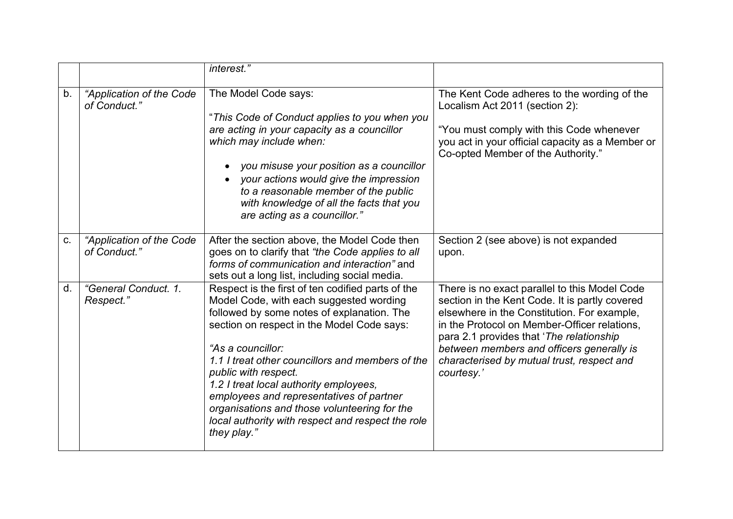|    |                                          | interest."                                                                                                                                                                                                                                                                                                                                                                                                                                                                                          |                                                                                                                                                                                                                                                                                                                                                     |
|----|------------------------------------------|-----------------------------------------------------------------------------------------------------------------------------------------------------------------------------------------------------------------------------------------------------------------------------------------------------------------------------------------------------------------------------------------------------------------------------------------------------------------------------------------------------|-----------------------------------------------------------------------------------------------------------------------------------------------------------------------------------------------------------------------------------------------------------------------------------------------------------------------------------------------------|
| b. | "Application of the Code<br>of Conduct." | The Model Code says:<br>"This Code of Conduct applies to you when you<br>are acting in your capacity as a councillor<br>which may include when:<br>you misuse your position as a councillor<br>your actions would give the impression<br>to a reasonable member of the public<br>with knowledge of all the facts that you<br>are acting as a councillor."                                                                                                                                           | The Kent Code adheres to the wording of the<br>Localism Act 2011 (section 2):<br>"You must comply with this Code whenever<br>you act in your official capacity as a Member or<br>Co-opted Member of the Authority."                                                                                                                                 |
| C. | "Application of the Code<br>of Conduct." | After the section above, the Model Code then<br>goes on to clarify that "the Code applies to all<br>forms of communication and interaction" and<br>sets out a long list, including social media.                                                                                                                                                                                                                                                                                                    | Section 2 (see above) is not expanded<br>upon.                                                                                                                                                                                                                                                                                                      |
| d. | "General Conduct. 1.<br>Respect."        | Respect is the first of ten codified parts of the<br>Model Code, with each suggested wording<br>followed by some notes of explanation. The<br>section on respect in the Model Code says:<br>"As a councillor:<br>1.1 I treat other councillors and members of the<br>public with respect.<br>1.2 I treat local authority employees,<br>employees and representatives of partner<br>organisations and those volunteering for the<br>local authority with respect and respect the role<br>they play." | There is no exact parallel to this Model Code<br>section in the Kent Code. It is partly covered<br>elsewhere in the Constitution. For example,<br>in the Protocol on Member-Officer relations,<br>para 2.1 provides that 'The relationship<br>between members and officers generally is<br>characterised by mutual trust, respect and<br>courtesy.' |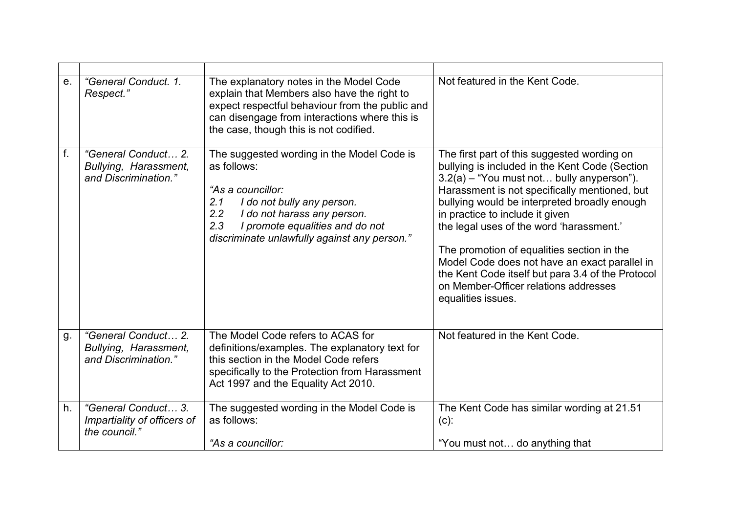| $e_{.}$     | "General Conduct. 1.<br>Respect."                                    | The explanatory notes in the Model Code<br>explain that Members also have the right to<br>expect respectful behaviour from the public and<br>can disengage from interactions where this is<br>the case, though this is not codified.                | Not featured in the Kent Code.                                                                                                                                                                                                                                                                                                                                                                                                                                                                                                                |
|-------------|----------------------------------------------------------------------|-----------------------------------------------------------------------------------------------------------------------------------------------------------------------------------------------------------------------------------------------------|-----------------------------------------------------------------------------------------------------------------------------------------------------------------------------------------------------------------------------------------------------------------------------------------------------------------------------------------------------------------------------------------------------------------------------------------------------------------------------------------------------------------------------------------------|
| $f_{\cdot}$ | "General Conduct 2.<br>Bullying, Harassment,<br>and Discrimination." | The suggested wording in the Model Code is<br>as follows:<br>"As a councillor:<br>2.1<br>I do not bully any person.<br>2.2<br>I do not harass any person.<br>2.3<br>I promote equalities and do not<br>discriminate unlawfully against any person." | The first part of this suggested wording on<br>bullying is included in the Kent Code (Section<br>3.2(a) - "You must not bully anyperson").<br>Harassment is not specifically mentioned, but<br>bullying would be interpreted broadly enough<br>in practice to include it given<br>the legal uses of the word 'harassment.'<br>The promotion of equalities section in the<br>Model Code does not have an exact parallel in<br>the Kent Code itself but para 3.4 of the Protocol<br>on Member-Officer relations addresses<br>equalities issues. |
| g.          | "General Conduct 2.<br>Bullying, Harassment,<br>and Discrimination." | The Model Code refers to ACAS for<br>definitions/examples. The explanatory text for<br>this section in the Model Code refers<br>specifically to the Protection from Harassment<br>Act 1997 and the Equality Act 2010.                               | Not featured in the Kent Code.                                                                                                                                                                                                                                                                                                                                                                                                                                                                                                                |
| h.          | "General Conduct 3.<br>Impartiality of officers of<br>the council."  | The suggested wording in the Model Code is<br>as follows:<br>"As a councillor:                                                                                                                                                                      | The Kent Code has similar wording at 21.51<br>$(c)$ :<br>"You must not do anything that                                                                                                                                                                                                                                                                                                                                                                                                                                                       |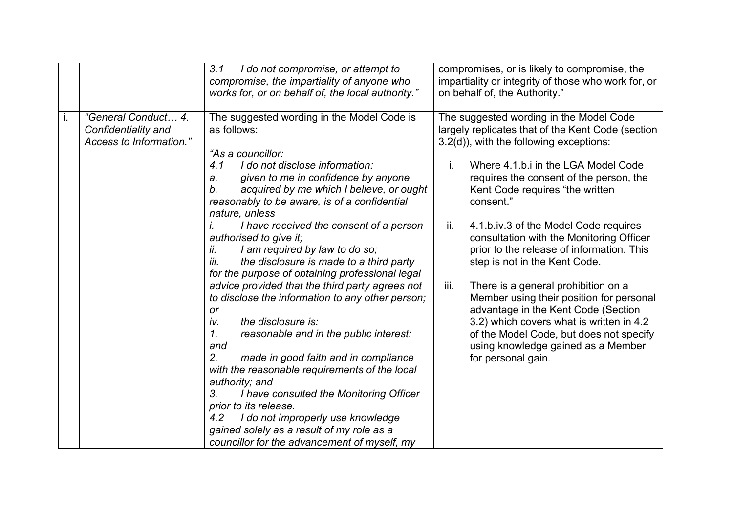|    |                                                                       | 3.1<br>I do not compromise, or attempt to<br>compromise, the impartiality of anyone who<br>works for, or on behalf of, the local authority."                                                                                                                                                                                                                                                                                                                                                                                                                                                                                                                                                                                                                                                                                                                                                                                                                                                                                                      | compromises, or is likely to compromise, the<br>impartiality or integrity of those who work for, or<br>on behalf of, the Authority."                                                                                                                                                                                                                                                                                                                                                                                                                                                                                                                                                                                                     |
|----|-----------------------------------------------------------------------|---------------------------------------------------------------------------------------------------------------------------------------------------------------------------------------------------------------------------------------------------------------------------------------------------------------------------------------------------------------------------------------------------------------------------------------------------------------------------------------------------------------------------------------------------------------------------------------------------------------------------------------------------------------------------------------------------------------------------------------------------------------------------------------------------------------------------------------------------------------------------------------------------------------------------------------------------------------------------------------------------------------------------------------------------|------------------------------------------------------------------------------------------------------------------------------------------------------------------------------------------------------------------------------------------------------------------------------------------------------------------------------------------------------------------------------------------------------------------------------------------------------------------------------------------------------------------------------------------------------------------------------------------------------------------------------------------------------------------------------------------------------------------------------------------|
| i. | "General Conduct 4.<br>Confidentiality and<br>Access to Information." | The suggested wording in the Model Code is<br>as follows:<br>"As a councillor:<br>4.1<br>I do not disclose information:<br>given to me in confidence by anyone<br>a.<br>acquired by me which I believe, or ought<br>b.<br>reasonably to be aware, is of a confidential<br>nature, unless<br>I have received the consent of a person<br>authorised to give it;<br>I am required by law to do so;<br>ii.<br>the disclosure is made to a third party<br>iii.<br>for the purpose of obtaining professional legal<br>advice provided that the third party agrees not<br>to disclose the information to any other person;<br>or<br>the disclosure is:<br>iv.<br>reasonable and in the public interest;<br>1.<br>and<br>2.<br>made in good faith and in compliance<br>with the reasonable requirements of the local<br>authority; and<br>3.<br>I have consulted the Monitoring Officer<br>prior to its release.<br>I do not improperly use knowledge<br>4.2<br>gained solely as a result of my role as a<br>councillor for the advancement of myself, my | The suggested wording in the Model Code<br>largely replicates that of the Kent Code (section<br>3.2(d)), with the following exceptions:<br>Where 4.1.b.i in the LGA Model Code<br>requires the consent of the person, the<br>Kent Code requires "the written<br>consent."<br>ii.<br>4.1.b.iv.3 of the Model Code requires<br>consultation with the Monitoring Officer<br>prior to the release of information. This<br>step is not in the Kent Code.<br>iii.<br>There is a general prohibition on a<br>Member using their position for personal<br>advantage in the Kent Code (Section<br>3.2) which covers what is written in 4.2<br>of the Model Code, but does not specify<br>using knowledge gained as a Member<br>for personal gain. |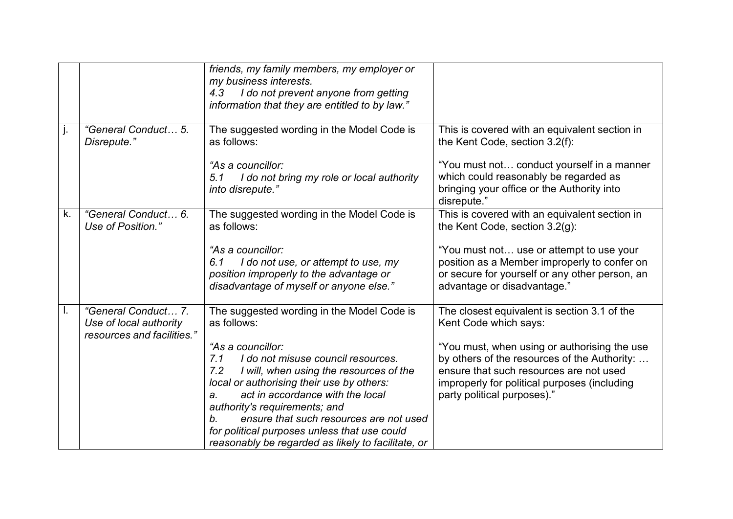|    |                                                                             | friends, my family members, my employer or<br>my business interests.<br>I do not prevent anyone from getting<br>4.3<br>information that they are entitled to by law."                                                                                                                                                                                                                                                                                        |                                                                                                                                                                                                                                                                                                 |
|----|-----------------------------------------------------------------------------|--------------------------------------------------------------------------------------------------------------------------------------------------------------------------------------------------------------------------------------------------------------------------------------------------------------------------------------------------------------------------------------------------------------------------------------------------------------|-------------------------------------------------------------------------------------------------------------------------------------------------------------------------------------------------------------------------------------------------------------------------------------------------|
| j. | "General Conduct 5.<br>Disrepute."                                          | The suggested wording in the Model Code is<br>as follows:<br>"As a councillor:<br>I do not bring my role or local authority<br>5.1<br>into disrepute."                                                                                                                                                                                                                                                                                                       | This is covered with an equivalent section in<br>the Kent Code, section 3.2(f):<br>"You must not conduct yourself in a manner<br>which could reasonably be regarded as<br>bringing your office or the Authority into<br>disrepute."                                                             |
| k. | "General Conduct 6.<br>Use of Position."                                    | The suggested wording in the Model Code is<br>as follows:<br>"As a councillor:<br>I do not use, or attempt to use, my<br>6.1<br>position improperly to the advantage or<br>disadvantage of myself or anyone else."                                                                                                                                                                                                                                           | This is covered with an equivalent section in<br>the Kent Code, section 3.2(g):<br>"You must not use or attempt to use your<br>position as a Member improperly to confer on<br>or secure for yourself or any other person, an<br>advantage or disadvantage."                                    |
| L. | "General Conduct 7.<br>Use of local authority<br>resources and facilities." | The suggested wording in the Model Code is<br>as follows:<br>"As a councillor:<br>I do not misuse council resources.<br>7.1<br>7.2<br>I will, when using the resources of the<br>local or authorising their use by others:<br>act in accordance with the local<br>a.<br>authority's requirements; and<br>ensure that such resources are not used<br>b.<br>for political purposes unless that use could<br>reasonably be regarded as likely to facilitate, or | The closest equivalent is section 3.1 of the<br>Kent Code which says:<br>"You must, when using or authorising the use<br>by others of the resources of the Authority:<br>ensure that such resources are not used<br>improperly for political purposes (including<br>party political purposes)." |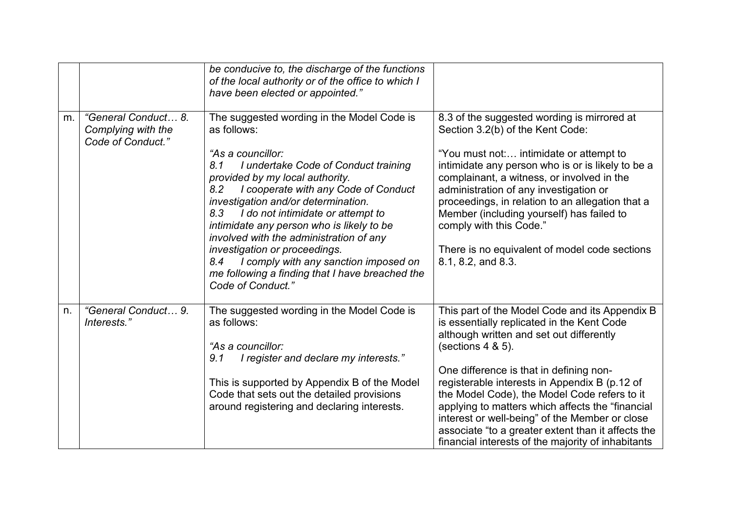|    |                                                                | be conducive to, the discharge of the functions<br>of the local authority or of the office to which I<br>have been elected or appointed."                                                                                                                                                                                                                                                                                                                                                                                                           |                                                                                                                                                                                                                                                                                                                                                                                                                                                                                                                                |
|----|----------------------------------------------------------------|-----------------------------------------------------------------------------------------------------------------------------------------------------------------------------------------------------------------------------------------------------------------------------------------------------------------------------------------------------------------------------------------------------------------------------------------------------------------------------------------------------------------------------------------------------|--------------------------------------------------------------------------------------------------------------------------------------------------------------------------------------------------------------------------------------------------------------------------------------------------------------------------------------------------------------------------------------------------------------------------------------------------------------------------------------------------------------------------------|
| m. | "General Conduct 8.<br>Complying with the<br>Code of Conduct." | The suggested wording in the Model Code is<br>as follows:<br>"As a councillor:<br>8.1<br>I undertake Code of Conduct training<br>provided by my local authority.<br>I cooperate with any Code of Conduct<br>8.2<br>investigation and/or determination.<br>I do not intimidate or attempt to<br>8.3<br>intimidate any person who is likely to be<br>involved with the administration of any<br>investigation or proceedings.<br>I comply with any sanction imposed on<br>8.4<br>me following a finding that I have breached the<br>Code of Conduct." | 8.3 of the suggested wording is mirrored at<br>Section 3.2(b) of the Kent Code:<br>"You must not: intimidate or attempt to<br>intimidate any person who is or is likely to be a<br>complainant, a witness, or involved in the<br>administration of any investigation or<br>proceedings, in relation to an allegation that a<br>Member (including yourself) has failed to<br>comply with this Code."<br>There is no equivalent of model code sections<br>8.1, 8.2, and 8.3.                                                     |
| n. | "General Conduct 9.<br>Interests."                             | The suggested wording in the Model Code is<br>as follows:<br>"As a councillor:<br>I register and declare my interests."<br>9.1<br>This is supported by Appendix B of the Model<br>Code that sets out the detailed provisions<br>around registering and declaring interests.                                                                                                                                                                                                                                                                         | This part of the Model Code and its Appendix B<br>is essentially replicated in the Kent Code<br>although written and set out differently<br>(sections $4 & 5$ ).<br>One difference is that in defining non-<br>registerable interests in Appendix B (p.12 of<br>the Model Code), the Model Code refers to it<br>applying to matters which affects the "financial<br>interest or well-being" of the Member or close<br>associate "to a greater extent than it affects the<br>financial interests of the majority of inhabitants |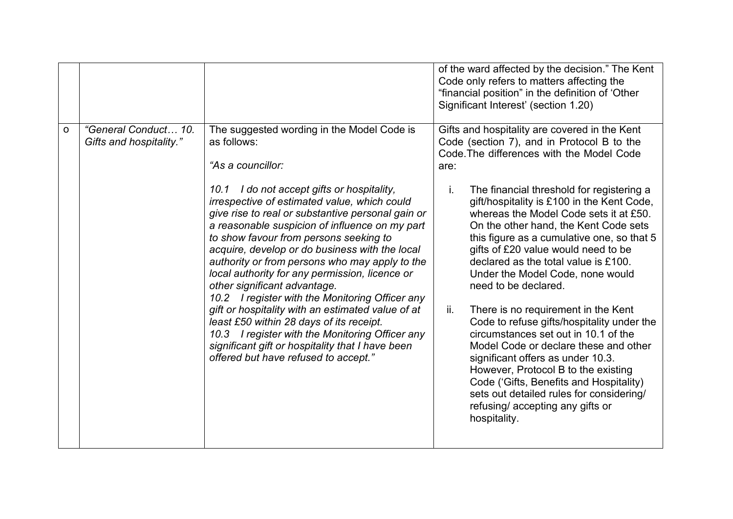|   |                                                 |                                                                                                                                                                                                                                                                                                                                                                                                                                                                                                                                                                                                                                                                                                                                                                                                                        | of the ward affected by the decision." The Kent<br>Code only refers to matters affecting the<br>"financial position" in the definition of 'Other<br>Significant Interest' (section 1.20)                                                                                                                                                                                                                                                                                                                                                                                                                                                                                                                                                                                                                                                                                                                         |
|---|-------------------------------------------------|------------------------------------------------------------------------------------------------------------------------------------------------------------------------------------------------------------------------------------------------------------------------------------------------------------------------------------------------------------------------------------------------------------------------------------------------------------------------------------------------------------------------------------------------------------------------------------------------------------------------------------------------------------------------------------------------------------------------------------------------------------------------------------------------------------------------|------------------------------------------------------------------------------------------------------------------------------------------------------------------------------------------------------------------------------------------------------------------------------------------------------------------------------------------------------------------------------------------------------------------------------------------------------------------------------------------------------------------------------------------------------------------------------------------------------------------------------------------------------------------------------------------------------------------------------------------------------------------------------------------------------------------------------------------------------------------------------------------------------------------|
| o | "General Conduct 10.<br>Gifts and hospitality." | The suggested wording in the Model Code is<br>as follows:<br>"As a councillor:<br>10.1 I do not accept gifts or hospitality,<br>irrespective of estimated value, which could<br>give rise to real or substantive personal gain or<br>a reasonable suspicion of influence on my part<br>to show favour from persons seeking to<br>acquire, develop or do business with the local<br>authority or from persons who may apply to the<br>local authority for any permission, licence or<br>other significant advantage.<br>10.2 I register with the Monitoring Officer any<br>gift or hospitality with an estimated value of at<br>least £50 within 28 days of its receipt.<br>10.3 I register with the Monitoring Officer any<br>significant gift or hospitality that I have been<br>offered but have refused to accept." | Gifts and hospitality are covered in the Kent<br>Code (section 7), and in Protocol B to the<br>Code. The differences with the Model Code<br>are:<br>j.<br>The financial threshold for registering a<br>gift/hospitality is £100 in the Kent Code,<br>whereas the Model Code sets it at £50.<br>On the other hand, the Kent Code sets<br>this figure as a cumulative one, so that 5<br>gifts of £20 value would need to be<br>declared as the total value is £100.<br>Under the Model Code, none would<br>need to be declared.<br>There is no requirement in the Kent<br>ii.<br>Code to refuse gifts/hospitality under the<br>circumstances set out in 10.1 of the<br>Model Code or declare these and other<br>significant offers as under 10.3.<br>However, Protocol B to the existing<br>Code ('Gifts, Benefits and Hospitality)<br>sets out detailed rules for considering/<br>refusing/accepting any gifts or |
|   |                                                 |                                                                                                                                                                                                                                                                                                                                                                                                                                                                                                                                                                                                                                                                                                                                                                                                                        | hospitality.                                                                                                                                                                                                                                                                                                                                                                                                                                                                                                                                                                                                                                                                                                                                                                                                                                                                                                     |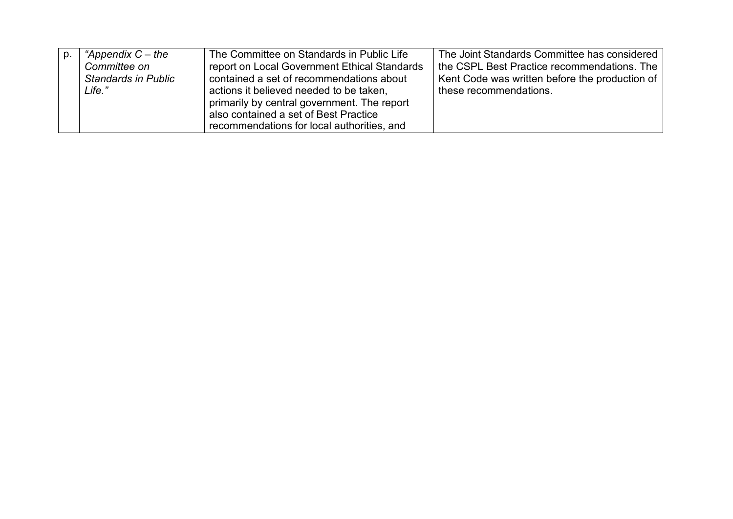| "Appendix $C$ – the        | The Committee on Standards in Public Life    | The Joint Standards Committee has considered   |
|----------------------------|----------------------------------------------|------------------------------------------------|
| Committee on               | report on Local Government Ethical Standards | the CSPL Best Practice recommendations. The    |
| <b>Standards in Public</b> | contained a set of recommendations about     | Kent Code was written before the production of |
| Life."                     | actions it believed needed to be taken,      | these recommendations.                         |
|                            | primarily by central government. The report  |                                                |
|                            | also contained a set of Best Practice        |                                                |
|                            | recommendations for local authorities, and   |                                                |